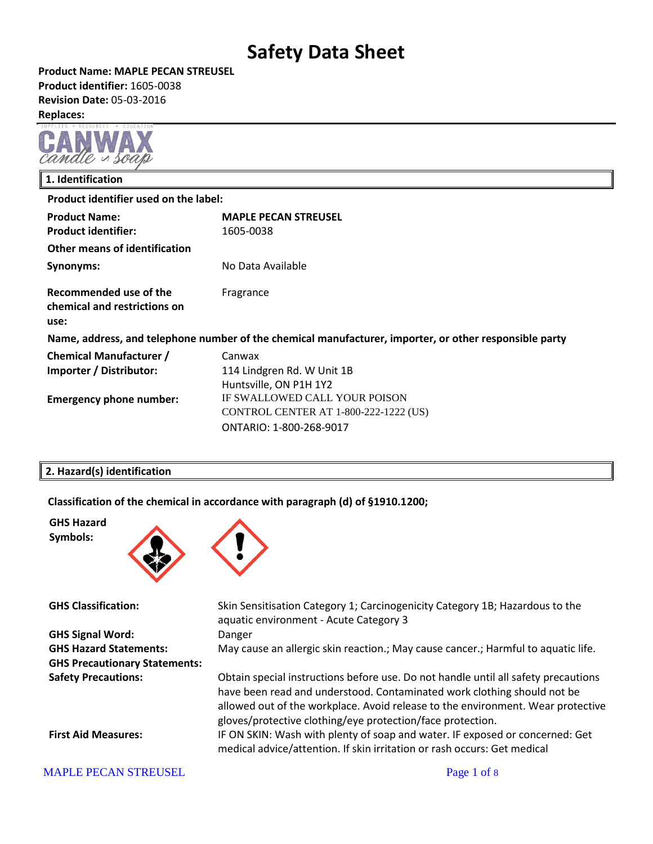**Product Name: MAPLE PECAN STREUSEL Product identifier:** 1605-0038 **Revision Date:** 05-03-2016 **Replaces:** 



### **1. Identification Product identifier used on the label: Product Name: MAPLE PECAN STREUSEL Product identifier:** 1605-0038 **Other means of identification Synonyms:** No Data Available **Recommended use of the chemical and restrictions on use:** Fragrance **Name, address, and telephone number of the chemical manufacturer, importer, or other responsible party Chemical Manufacturer / Importer / Distributor:** Canwax 114 Lindgren Rd. W Unit 1B Huntsville, ON P1H 1Y2 **Emergency phone number:** IF SWALLOWED CALL YOUR POISON CONTROL CENTER AT 1-800-222-1222 (US) ONTARIO: 1-800-268-9017

### **2. Hazard(s) identification**

**Classification of the chemical in accordance with paragraph (d) of §1910.1200;**



| <b>GHS Classification:</b>           | Skin Sensitisation Category 1; Carcinogenicity Category 1B; Hazardous to the<br>aquatic environment - Acute Category 3                                                                                                                                                                                         |
|--------------------------------------|----------------------------------------------------------------------------------------------------------------------------------------------------------------------------------------------------------------------------------------------------------------------------------------------------------------|
| <b>GHS Signal Word:</b>              | Danger                                                                                                                                                                                                                                                                                                         |
| <b>GHS Hazard Statements:</b>        | May cause an allergic skin reaction.; May cause cancer.; Harmful to aquatic life.                                                                                                                                                                                                                              |
| <b>GHS Precautionary Statements:</b> |                                                                                                                                                                                                                                                                                                                |
| <b>Safety Precautions:</b>           | Obtain special instructions before use. Do not handle until all safety precautions<br>have been read and understood. Contaminated work clothing should not be<br>allowed out of the workplace. Avoid release to the environment. Wear protective<br>gloves/protective clothing/eye protection/face protection. |
| <b>First Aid Measures:</b>           | IF ON SKIN: Wash with plenty of soap and water. IF exposed or concerned: Get<br>medical advice/attention. If skin irritation or rash occurs: Get medical                                                                                                                                                       |

### MAPLE PECAN STREUSEL **Page 1** of 8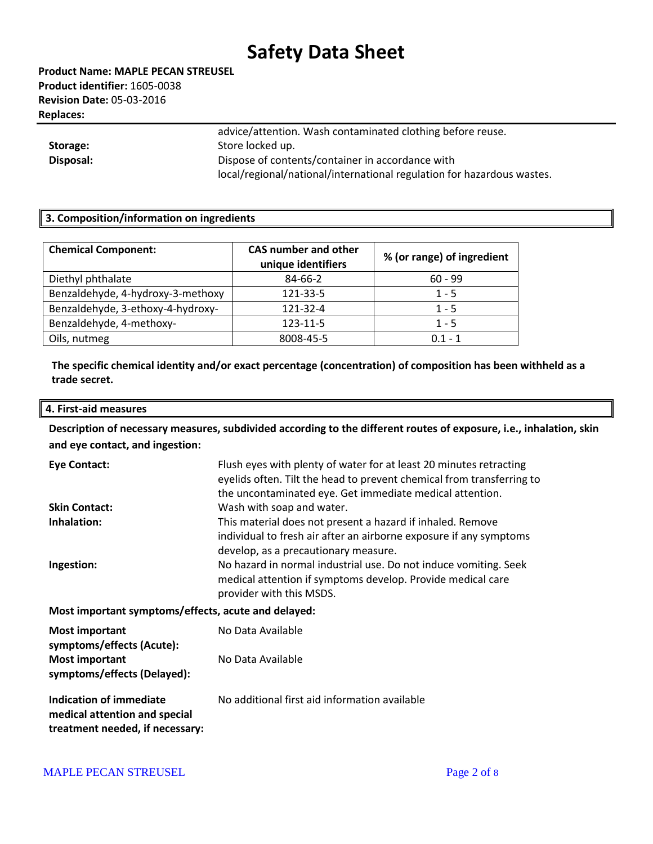**Product Name: MAPLE PECAN STREUSEL Product identifier:** 1605-0038 **Revision Date:** 05-03-2016 **Replaces:** 

| Storage:  | advice/attention. Wash contaminated clothing before reuse.<br>Store locked up. |
|-----------|--------------------------------------------------------------------------------|
|           |                                                                                |
| Disposal: | Dispose of contents/container in accordance with                               |
|           | local/regional/national/international regulation for hazardous wastes.         |

### **3. Composition/information on ingredients**

| <b>Chemical Component:</b>        | <b>CAS number and other</b><br>unique identifiers | % (or range) of ingredient |
|-----------------------------------|---------------------------------------------------|----------------------------|
| Diethyl phthalate                 | 84-66-2                                           | $60 - 99$                  |
| Benzaldehyde, 4-hydroxy-3-methoxy | 121-33-5                                          | $1 - 5$                    |
| Benzaldehyde, 3-ethoxy-4-hydroxy- | 121-32-4                                          | $1 - 5$                    |
| Benzaldehyde, 4-methoxy-          | 123-11-5                                          | $1 - 5$                    |
| Oils, nutmeg                      | 8008-45-5                                         | $0.1 - 1$                  |

**The specific chemical identity and/or exact percentage (concentration) of composition has been withheld as a trade secret.**

#### **4. First-aid measures**

**Description of necessary measures, subdivided according to the different routes of exposure, i.e., inhalation, skin and eye contact, and ingestion:**

| <b>Eye Contact:</b>                                                                         | Flush eyes with plenty of water for at least 20 minutes retracting<br>eyelids often. Tilt the head to prevent chemical from transferring to<br>the uncontaminated eye. Get immediate medical attention. |  |
|---------------------------------------------------------------------------------------------|---------------------------------------------------------------------------------------------------------------------------------------------------------------------------------------------------------|--|
| <b>Skin Contact:</b>                                                                        | Wash with soap and water.                                                                                                                                                                               |  |
| Inhalation:                                                                                 | This material does not present a hazard if inhaled. Remove<br>individual to fresh air after an airborne exposure if any symptoms<br>develop, as a precautionary measure.                                |  |
| Ingestion:                                                                                  | No hazard in normal industrial use. Do not induce vomiting. Seek<br>medical attention if symptoms develop. Provide medical care<br>provider with this MSDS.                                             |  |
| Most important symptoms/effects, acute and delayed:                                         |                                                                                                                                                                                                         |  |
| <b>Most important</b><br>symptoms/effects (Acute):                                          | No Data Available                                                                                                                                                                                       |  |
| <b>Most important</b><br>symptoms/effects (Delayed):                                        | No Data Available                                                                                                                                                                                       |  |
| Indication of immediate<br>medical attention and special<br>treatment needed, if necessary: | No additional first aid information available                                                                                                                                                           |  |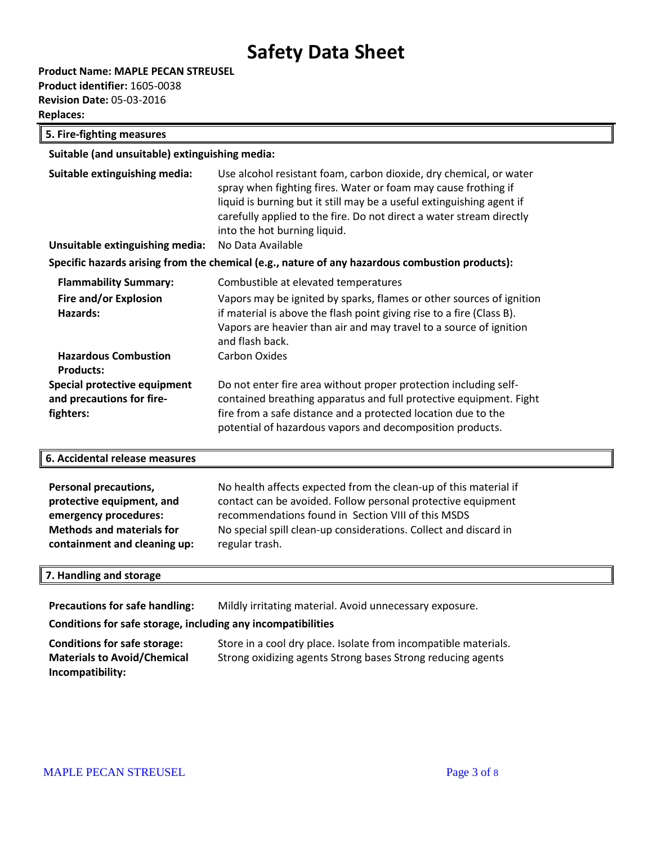**Product Name: MAPLE PECAN STREUSEL Product identifier:** 1605-0038 **Revision Date:** 05-03-2016 **Replaces:** 

**5. Fire-fighting measures**

**Suitable (and unsuitable) extinguishing media:**

| Suitable extinguishing media:<br>Unsuitable extinguishing media:       | Use alcohol resistant foam, carbon dioxide, dry chemical, or water<br>spray when fighting fires. Water or foam may cause frothing if<br>liquid is burning but it still may be a useful extinguishing agent if<br>carefully applied to the fire. Do not direct a water stream directly<br>into the hot burning liquid.<br>No Data Available |
|------------------------------------------------------------------------|--------------------------------------------------------------------------------------------------------------------------------------------------------------------------------------------------------------------------------------------------------------------------------------------------------------------------------------------|
|                                                                        | Specific hazards arising from the chemical (e.g., nature of any hazardous combustion products):                                                                                                                                                                                                                                            |
|                                                                        |                                                                                                                                                                                                                                                                                                                                            |
| <b>Flammability Summary:</b>                                           | Combustible at elevated temperatures                                                                                                                                                                                                                                                                                                       |
| Fire and/or Explosion<br>Hazards:                                      | Vapors may be ignited by sparks, flames or other sources of ignition<br>if material is above the flash point giving rise to a fire (Class B).<br>Vapors are heavier than air and may travel to a source of ignition<br>and flash back.                                                                                                     |
| <b>Hazardous Combustion</b><br><b>Products:</b>                        | Carbon Oxides                                                                                                                                                                                                                                                                                                                              |
| Special protective equipment<br>and precautions for fire-<br>fighters: | Do not enter fire area without proper protection including self-<br>contained breathing apparatus and full protective equipment. Fight<br>fire from a safe distance and a protected location due to the<br>potential of hazardous vapors and decomposition products.                                                                       |

#### **6. Accidental release measures**

| <b>Personal precautions,</b>     | No health affects expected from the clean-up of this material if |
|----------------------------------|------------------------------------------------------------------|
| protective equipment, and        | contact can be avoided. Follow personal protective equipment     |
| emergency procedures:            | recommendations found in Section VIII of this MSDS               |
| <b>Methods and materials for</b> | No special spill clean-up considerations. Collect and discard in |
| containment and cleaning up:     | regular trash.                                                   |

#### **7. Handling and storage**

Precautions for safe handling: Mildly irritating material. Avoid unnecessary exposure.

### **Conditions for safe storage, including any incompatibilities**

| Conditions for safe storage:       | Store in a cool dry place. Isolate from incompatible materials. |
|------------------------------------|-----------------------------------------------------------------|
| <b>Materials to Avoid/Chemical</b> | Strong oxidizing agents Strong bases Strong reducing agents     |
| Incompatibility:                   |                                                                 |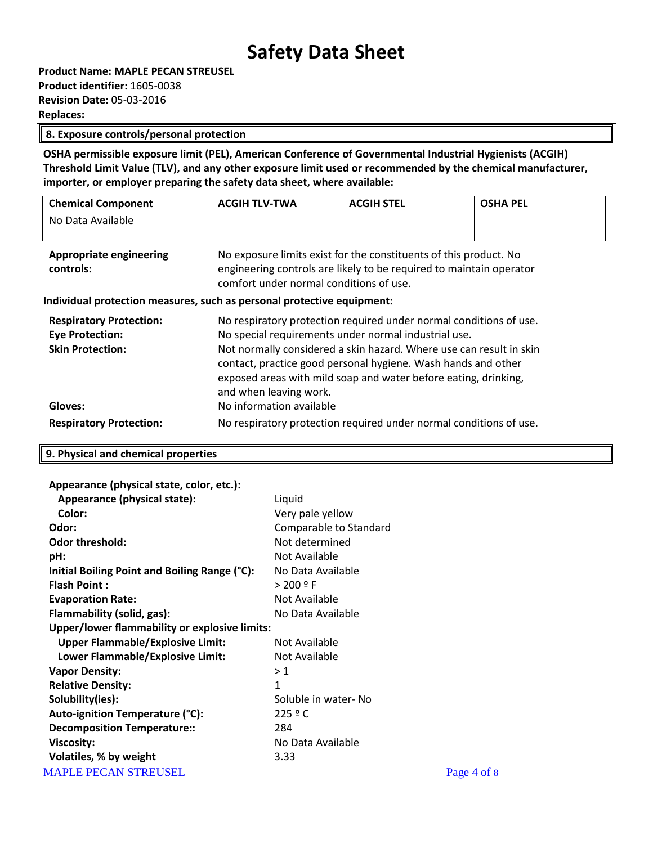| <b>Product Name: MAPLE PECAN STREUSEL</b> |
|-------------------------------------------|
| <b>Product identifier:</b> 1605-0038      |
| <b>Revision Date: 05-03-2016</b>          |
| <b>Replaces:</b>                          |

#### **8. Exposure controls/personal protection**

**OSHA permissible exposure limit (PEL), American Conference of Governmental Industrial Hygienists (ACGIH) Threshold Limit Value (TLV), and any other exposure limit used or recommended by the chemical manufacturer, importer, or employer preparing the safety data sheet, where available:**

| <b>Chemical Component</b>                                                                      | <b>ACGIH TLV-TWA</b>                                                                                                                                                                                                                                                                                                                                                                        | <b>ACGIH STEL</b> | <b>OSHA PEL</b> |
|------------------------------------------------------------------------------------------------|---------------------------------------------------------------------------------------------------------------------------------------------------------------------------------------------------------------------------------------------------------------------------------------------------------------------------------------------------------------------------------------------|-------------------|-----------------|
| No Data Available                                                                              |                                                                                                                                                                                                                                                                                                                                                                                             |                   |                 |
| <b>Appropriate engineering</b><br>controls:                                                    | No exposure limits exist for the constituents of this product. No<br>engineering controls are likely to be required to maintain operator<br>comfort under normal conditions of use.                                                                                                                                                                                                         |                   |                 |
| Individual protection measures, such as personal protective equipment:                         |                                                                                                                                                                                                                                                                                                                                                                                             |                   |                 |
| <b>Respiratory Protection:</b><br><b>Eye Protection:</b><br><b>Skin Protection:</b><br>Gloves: | No respiratory protection required under normal conditions of use.<br>No special requirements under normal industrial use.<br>Not normally considered a skin hazard. Where use can result in skin<br>contact, practice good personal hygiene. Wash hands and other<br>exposed areas with mild soap and water before eating, drinking,<br>and when leaving work.<br>No information available |                   |                 |
| <b>Respiratory Protection:</b>                                                                 | No respiratory protection required under normal conditions of use.                                                                                                                                                                                                                                                                                                                          |                   |                 |

Page 4 of 8

### **9. Physical and chemical properties**

#### **Appearance (physical state, color, etc.):**

| Appearance (physical state):                  | Liquid                 |
|-----------------------------------------------|------------------------|
| Color:                                        | Very pale yellow       |
| Odor:                                         | Comparable to Standard |
| <b>Odor threshold:</b>                        | Not determined         |
| pH:                                           | Not Available          |
| Initial Boiling Point and Boiling Range (°C): | No Data Available      |
| <b>Flash Point:</b>                           | $> 200$ º F            |
| <b>Evaporation Rate:</b>                      | Not Available          |
| Flammability (solid, gas):                    | No Data Available      |
| Upper/lower flammability or explosive limits: |                        |
| <b>Upper Flammable/Explosive Limit:</b>       | Not Available          |
| Lower Flammable/Explosive Limit:              | Not Available          |
| <b>Vapor Density:</b>                         | >1                     |
| <b>Relative Density:</b>                      | $\mathbf{1}$           |
| Solubility(ies):                              | Soluble in water-No    |
| Auto-ignition Temperature (°C):               | 225°                   |
| <b>Decomposition Temperature::</b>            | 284                    |
| Viscosity:                                    | No Data Available      |
| Volatiles, % by weight                        | 3.33                   |
| <b>MAPLE PECAN STREUSEL</b>                   |                        |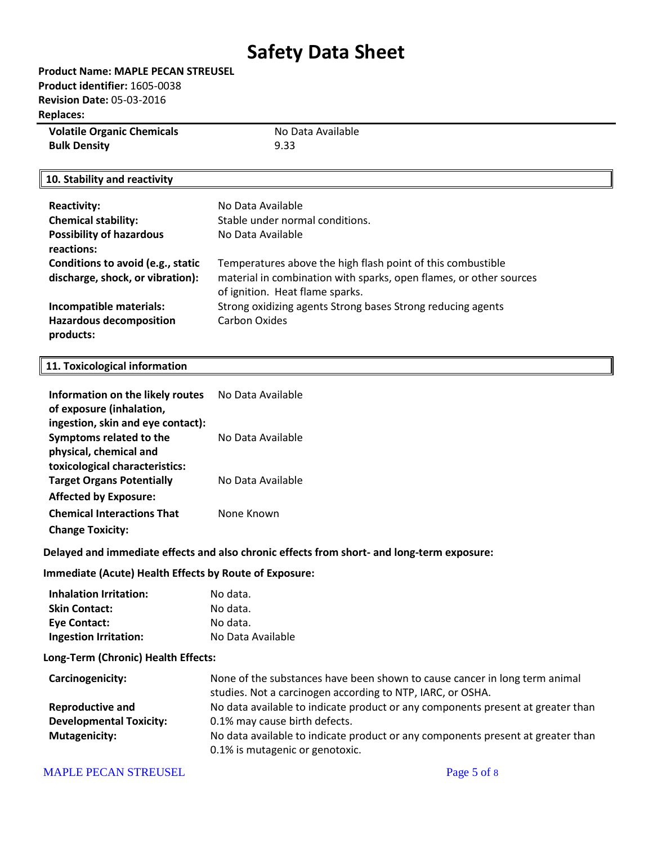| <b>Volatile Organic Chemicals</b> | No Data Available |
|-----------------------------------|-------------------|
| <b>Bulk Density</b>               | 9.33              |

### **10. Stability and reactivity**

| <b>Reactivity:</b><br><b>Chemical stability:</b><br><b>Possibility of hazardous</b><br>reactions: | No Data Available<br>Stable under normal conditions.<br>No Data Available                                                                                            |
|---------------------------------------------------------------------------------------------------|----------------------------------------------------------------------------------------------------------------------------------------------------------------------|
| Conditions to avoid (e.g., static<br>discharge, shock, or vibration):                             | Temperatures above the high flash point of this combustible<br>material in combination with sparks, open flames, or other sources<br>of ignition. Heat flame sparks. |
| Incompatible materials:<br><b>Hazardous decomposition</b><br>products:                            | Strong oxidizing agents Strong bases Strong reducing agents<br>Carbon Oxides                                                                                         |

#### **11. Toxicological information**

| Information on the likely routes<br>of exposure (inhalation, | No Data Available |
|--------------------------------------------------------------|-------------------|
| ingestion, skin and eye contact):                            |                   |
| Symptoms related to the                                      | No Data Available |
| physical, chemical and                                       |                   |
| toxicological characteristics:                               |                   |
| <b>Target Organs Potentially</b>                             | No Data Available |
| <b>Affected by Exposure:</b>                                 |                   |
| <b>Chemical Interactions That</b>                            | None Known        |
| <b>Change Toxicity:</b>                                      |                   |

#### **Delayed and immediate effects and also chronic effects from short- and long-term exposure:**

#### **Immediate (Acute) Health Effects by Route of Exposure:**

| Inhalation Irritation:       | No data.          |
|------------------------------|-------------------|
| <b>Skin Contact:</b>         | No data.          |
| Eye Contact:                 | No data.          |
| <b>Ingestion Irritation:</b> | No Data Available |

#### **Long-Term (Chronic) Health Effects:**

| Carcinogenicity:               | None of the substances have been shown to cause cancer in long term animal      |
|--------------------------------|---------------------------------------------------------------------------------|
|                                | studies. Not a carcinogen according to NTP, IARC, or OSHA.                      |
| <b>Reproductive and</b>        | No data available to indicate product or any components present at greater than |
| <b>Developmental Toxicity:</b> | 0.1% may cause birth defects.                                                   |
| Mutagenicity:                  | No data available to indicate product or any components present at greater than |
|                                | 0.1% is mutagenic or genotoxic.                                                 |

#### MAPLE PECAN STREUSEL Page 5 of 8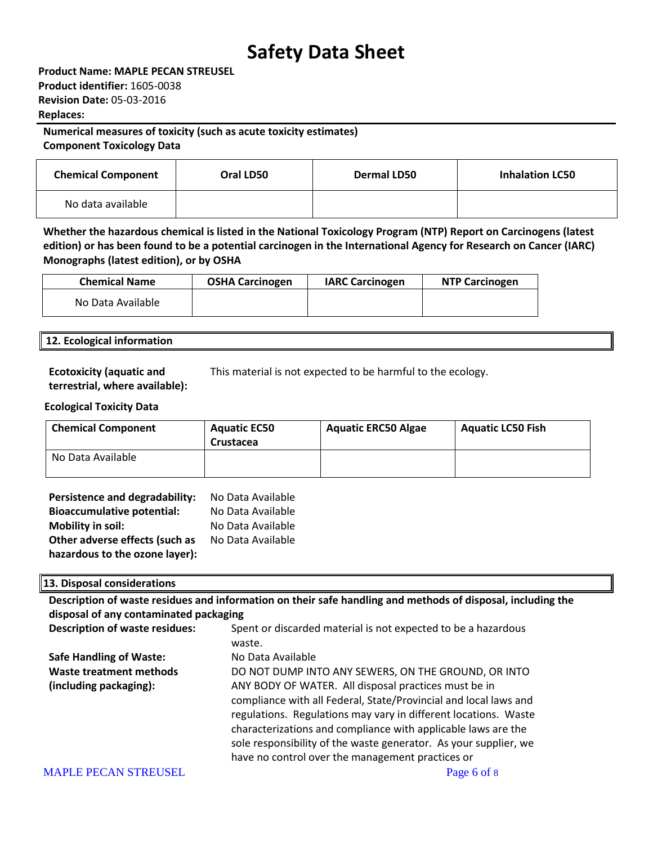**Product Name: MAPLE PECAN STREUSEL Product identifier:** 1605-0038 **Revision Date:** 05-03-2016 **Replaces:** 

### **Numerical measures of toxicity (such as acute toxicity estimates) Component Toxicology Data**

**Chemical Component Oral LD50 Dermal LD50 Inhalation LC50** No data available

**Whether the hazardous chemical is listed in the National Toxicology Program (NTP) Report on Carcinogens (latest edition) or has been found to be a potential carcinogen in the International Agency for Research on Cancer (IARC) Monographs (latest edition), or by OSHA**

| <b>Chemical Name</b> | <b>OSHA Carcinogen</b> | <b>IARC Carcinogen</b> | <b>NTP Carcinogen</b> |
|----------------------|------------------------|------------------------|-----------------------|
| No Data Available    |                        |                        |                       |

### **12. Ecological information**

**Ecotoxicity (aquatic and terrestrial, where available):** This material is not expected to be harmful to the ecology.

### **Ecological Toxicity Data**

| <b>Chemical Component</b> | <b>Aquatic EC50</b><br><b>Crustacea</b> | <b>Aquatic ERC50 Algae</b> | <b>Aquatic LC50 Fish</b> |
|---------------------------|-----------------------------------------|----------------------------|--------------------------|
| No Data Available         |                                         |                            |                          |

| Persistence and degradability:    | No Data Available |
|-----------------------------------|-------------------|
| <b>Bioaccumulative potential:</b> | No Data Available |
| <b>Mobility in soil:</b>          | No Data Available |
| Other adverse effects (such as    | No Data Available |
| hazardous to the ozone layer):    |                   |

### **13. Disposal considerations**

**Description of waste residues and information on their safe handling and methods of disposal, including the disposal of any contaminated packaging**

| Spent or discarded material is not expected to be a hazardous    |
|------------------------------------------------------------------|
| waste.                                                           |
| No Data Available                                                |
| DO NOT DUMP INTO ANY SEWERS, ON THE GROUND, OR INTO              |
| ANY BODY OF WATER. All disposal practices must be in             |
| compliance with all Federal, State/Provincial and local laws and |
| regulations. Regulations may vary in different locations. Waste  |
| characterizations and compliance with applicable laws are the    |
| sole responsibility of the waste generator. As your supplier, we |
| have no control over the management practices or                 |
| Page 6 of 8                                                      |
|                                                                  |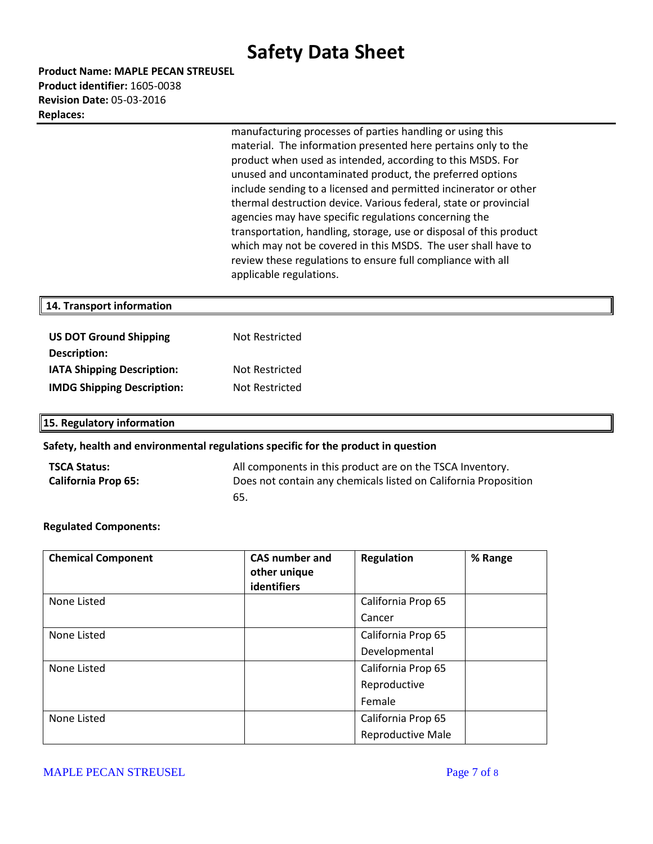**Product Name: MAPLE PECAN STREUSEL Product identifier:** 1605-0038 **Revision Date:** 05-03-2016 **Replaces:** 

> manufacturing processes of parties handling or using this material. The information presented here pertains only to the product when used as intended, according to this MSDS. For unused and uncontaminated product, the preferred options include sending to a licensed and permitted incinerator or other thermal destruction device. Various federal, state or provincial agencies may have specific regulations concerning the transportation, handling, storage, use or disposal of this product which may not be covered in this MSDS. The user shall have to review these regulations to ensure full compliance with all applicable regulations.

#### **14. Transport information**

| <b>US DOT Ground Shipping</b>     | Not Restricted |
|-----------------------------------|----------------|
| Description:                      |                |
| <b>IATA Shipping Description:</b> | Not Restricted |
| <b>IMDG Shipping Description:</b> | Not Restricted |

**15. Regulatory information**

#### **Safety, health and environmental regulations specific for the product in question**

| <b>TSCA Status:</b>        | All components in this product are on the TSCA Inventory.       |
|----------------------------|-----------------------------------------------------------------|
| <b>California Prop 65:</b> | Does not contain any chemicals listed on California Proposition |
|                            | -65.                                                            |

#### **Regulated Components:**

| <b>Chemical Component</b> | <b>CAS number and</b><br>other unique<br>identifiers | <b>Regulation</b>  | % Range |
|---------------------------|------------------------------------------------------|--------------------|---------|
| None Listed               |                                                      | California Prop 65 |         |
|                           |                                                      | Cancer             |         |
| None Listed               |                                                      | California Prop 65 |         |
|                           |                                                      | Developmental      |         |
| None Listed               |                                                      | California Prop 65 |         |
|                           |                                                      | Reproductive       |         |
|                           |                                                      | Female             |         |
| None Listed               |                                                      | California Prop 65 |         |
|                           |                                                      | Reproductive Male  |         |

MAPLE PECAN STREUSEL **Page 7** of 8